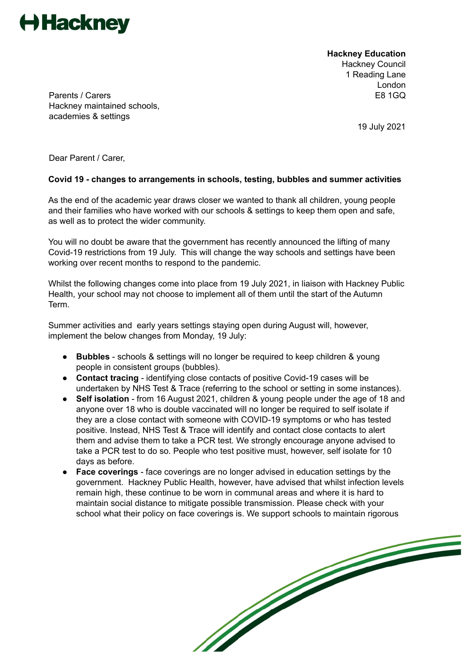

**Hackney Education** Hackney Council 1 Reading Lane London

Parents / Carers **E8 1GQ** Hackney maintained schools, academies & settings

19 July 2021

Dear Parent / Carer,

## **Covid 19 - changes to arrangements in schools, testing, bubbles and summer activities**

As the end of the academic year draws closer we wanted to thank all children, young people and their families who have worked with our schools & settings to keep them open and safe, as well as to protect the wider community.

You will no doubt be aware that the government has recently announced the lifting of many Covid-19 restrictions from 19 July. This will change the way schools and settings have been working over recent months to respond to the pandemic.

Whilst the following changes come into place from 19 July 2021, in liaison with Hackney Public Health, your school may not choose to implement all of them until the start of the Autumn Term.

Summer activities and early years settings staying open during August will, however, implement the below changes from Monday, 19 July:

- **Bubbles** schools & settings will no longer be required to keep children & young people in consistent groups (bubbles).
- **Contact tracing** identifying close contacts of positive Covid-19 cases will be undertaken by NHS Test & Trace (referring to the school or setting in some instances).
- **Self isolation** from 16 August 2021, children & young people under the age of 18 and anyone over 18 who is double vaccinated will no longer be required to self isolate if they are a close contact with someone with COVID-19 symptoms or who has tested positive. Instead, NHS Test & Trace will identify and contact close contacts to alert them and advise them to take a PCR test. We strongly encourage anyone advised to take a PCR test to do so. People who test positive must, however, self isolate for 10 days as before.
- **Face coverings** face coverings are no longer advised in education settings by the government. Hackney Public Health, however, have advised that whilst infection levels remain high, these continue to be worn in communal areas and where it is hard to maintain social distance to mitigate possible transmission. Please check with your school what their policy on face coverings is. We support schools to maintain rigorous